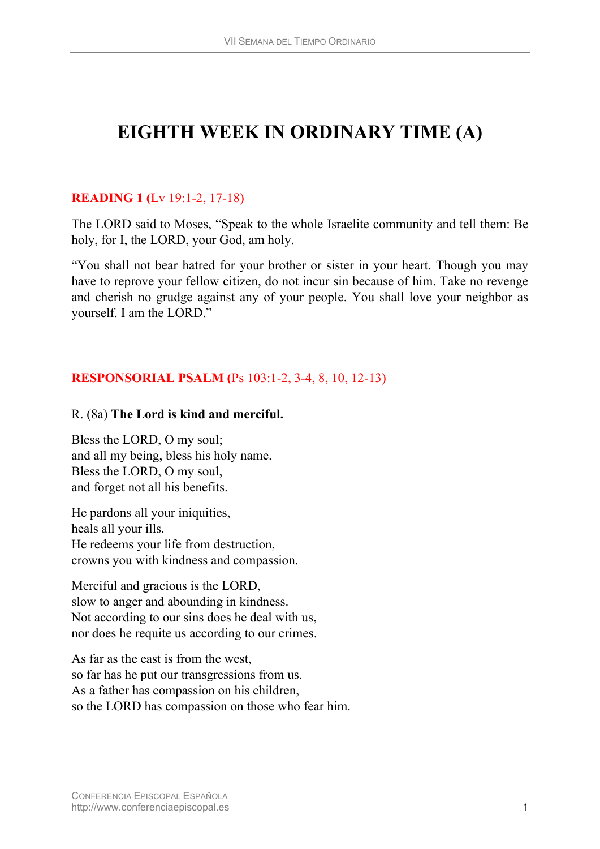# **EIGHTH WEEK IN ORDINARY TIME (A)**

## **READING 1 (**[Lv 19:1-2, 17-18](http://www.usccb.org/nab/bible/leviticus/leviticus19.htm#v1))

The LORD said to Moses, "Speak to the whole Israelite community and tell them: Be holy, for I, the LORD, your God, am holy.

"You shall not bear hatred for your brother or sister in your heart. Though you may have to reprove your fellow citizen, do not incur sin because of him. Take no revenge and cherish no grudge against any of your people. You shall love your neighbor as yourself. I am the LORD."

## **RESPONSORIAL PSALM (**[Ps 103:1-2, 3-4, 8, 10, 12-13\)](http://www.usccb.org/nab/bible/psalms/psalm103.htm#v1)

#### R. (8a) **The Lord is kind and merciful.**

Bless the LORD, O my soul; and all my being, bless his holy name. Bless the LORD, O my soul, and forget not all his benefits.

He pardons all your iniquities, heals all your ills. He redeems your life from destruction, crowns you with kindness and compassion.

Merciful and gracious is the LORD, slow to anger and abounding in kindness. Not according to our sins does he deal with us, nor does he requite us according to our crimes.

As far as the east is from the west, so far has he put our transgressions from us. As a father has compassion on his children, so the LORD has compassion on those who fear him.